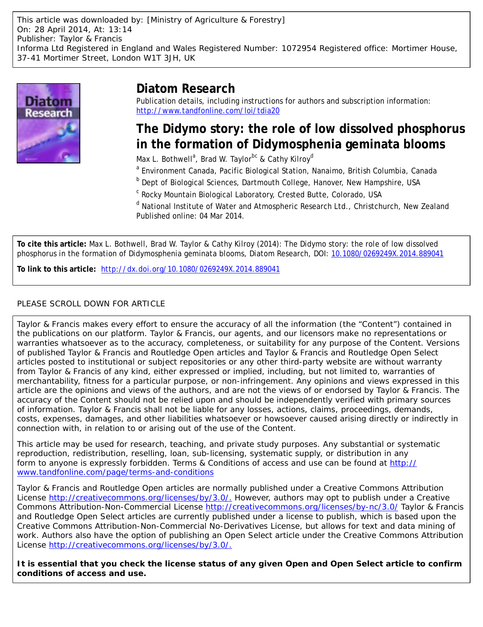

# **Diatom Research**

Publication details, including instructions for authors and subscription information: <http://www.tandfonline.com/loi/tdia20>

# **The Didymo story: the role of low dissolved phosphorus in the formation of Didymosphenia geminata blooms**

Max L. Bothwell<sup>a</sup>, Brad W. Taylor<sup>bc</sup> & Cathy Kilroy<sup>d</sup>

- <sup>a</sup> Environment Canada, Pacific Biological Station, Nanaimo, British Columbia, Canada
- <sup>b</sup> Dept of Biological Sciences, Dartmouth College, Hanover, New Hampshire, USA
- <sup>c</sup> Rocky Mountain Biological Laboratory, Crested Butte, Colorado, USA

<sup>d</sup> National Institute of Water and Atmospheric Research Ltd., Christchurch, New Zealand Published online: 04 Mar 2014.

**To cite this article:** Max L. Bothwell, Brad W. Taylor & Cathy Kilroy (2014): The Didymo story: the role of low dissolved phosphorus in the formation of Didymosphenia geminata blooms, Diatom Research, DOI: [10.1080/0269249X.2014.889041](http://www.tandfonline.com/action/showCitFormats?doi=10.1080/0269249X.2014.889041)

**To link to this article:** <http://dx.doi.org/10.1080/0269249X.2014.889041>

## PLEASE SCROLL DOWN FOR ARTICLE

Taylor & Francis makes every effort to ensure the accuracy of all the information (the "Content") contained in the publications on our platform. Taylor & Francis, our agents, and our licensors make no representations or warranties whatsoever as to the accuracy, completeness, or suitability for any purpose of the Content. Versions of published Taylor & Francis and Routledge Open articles and Taylor & Francis and Routledge Open Select articles posted to institutional or subject repositories or any other third-party website are without warranty from Taylor & Francis of any kind, either expressed or implied, including, but not limited to, warranties of merchantability, fitness for a particular purpose, or non-infringement. Any opinions and views expressed in this article are the opinions and views of the authors, and are not the views of or endorsed by Taylor & Francis. The accuracy of the Content should not be relied upon and should be independently verified with primary sources of information. Taylor & Francis shall not be liable for any losses, actions, claims, proceedings, demands, costs, expenses, damages, and other liabilities whatsoever or howsoever caused arising directly or indirectly in connection with, in relation to or arising out of the use of the Content.

This article may be used for research, teaching, and private study purposes. Any substantial or systematic reproduction, redistribution, reselling, loan, sub-licensing, systematic supply, or distribution in any form to anyone is expressly forbidden. Terms & Conditions of access and use can be found at [http://](http://www.tandfonline.com/page/terms-and-conditions) [www.tandfonline.com/page/terms-and-conditions](http://www.tandfonline.com/page/terms-and-conditions)

Taylor & Francis and Routledge Open articles are normally published under a Creative Commons Attribution License<http://creativecommons.org/licenses/by/3.0/.>However, authors may opt to publish under a Creative Commons Attribution-Non-Commercial License <http://creativecommons.org/licenses/by-nc/3.0/>Taylor & Francis and Routledge Open Select articles are currently published under a license to publish, which is based upon the Creative Commons Attribution-Non-Commercial No-Derivatives License, but allows for text and data mining of work. Authors also have the option of publishing an Open Select article under the Creative Commons Attribution License<http://creativecommons.org/licenses/by/3.0/.>

**It is essential that you check the license status of any given Open and Open Select article to confirm conditions of access and use.**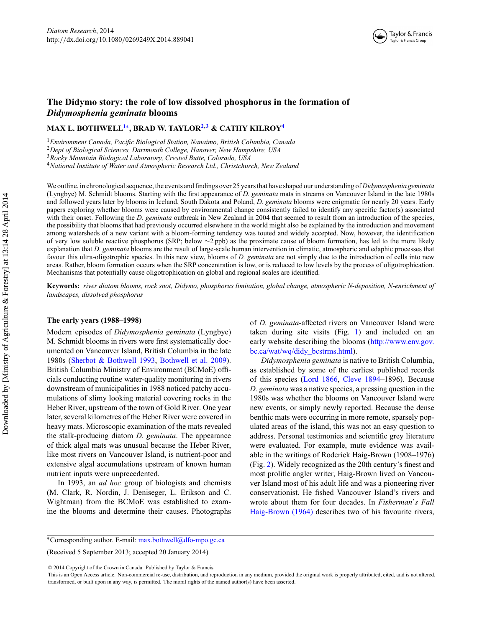## **The Didymo story: the role of low dissolved phosphorus in the formation of** *Didymosphenia geminata* **blooms**

**MAX L. BOTHWELL1**∗**, BRAD W. TAYLOR2,3 & CATHY KILROY<sup>4</sup>**

<sup>1</sup>*Environment Canada, Pacific Biological Station, Nanaimo, British Columbia, Canada*

<sup>2</sup>*Dept of Biological Sciences, Dartmouth College, Hanover, New Hampshire, USA*

<sup>3</sup>*Rocky Mountain Biological Laboratory, Crested Butte, Colorado, USA*

<sup>4</sup>*National Institute of Water and Atmospheric Research Ltd., Christchurch, New Zealand*

We outline, in chronological sequence, the events and findings over 25 years that have shaped our understanding of *Didymosphenia geminata* (Lyngbye) M. Schmidt blooms. Starting with the first appearance of *D. geminata* mats in streams on Vancouver Island in the late 1980s and followed years later by blooms in Iceland, South Dakota and Poland, *D. geminata* blooms were enigmatic for nearly 20 years. Early papers exploring whether blooms were caused by environmental change consistently failed to identify any specific factor(s) associated with their onset. Following the *D. geminata* outbreak in New Zealand in 2004 that seemed to result from an introduction of the species, the possibility that blooms that had previously occurred elsewhere in the world might also be explained by the introduction and movement among watersheds of a new variant with a bloom-forming tendency was touted and widely accepted. Now, however, the identification of very low soluble reactive phosphorus (SRP; below ∼2 ppb) as the proximate cause of bloom formation, has led to the more likely explanation that *D. geminata* blooms are the result of large-scale human intervention in climatic, atmospheric and edaphic processes that favour this ultra-oligotrophic species. In this new view, blooms of *D. geminata* are not simply due to the introduction of cells into new areas. Rather, bloom formation occurs when the SRP concentration is low, or is reduced to low levels by the process of oligotrophication. Mechanisms that potentially cause oligotrophication on global and regional scales are identified.

**Keywords:** *river diatom blooms, rock snot, Didymo, phosphorus limitation, global change, atmospheric N-deposition, N-enrichment of landscapes, dissolved phosphorus*

#### **The early years (1988–1998)**

Modern episodes of *Didymosphenia geminata* (Lyngbye) M. Schmidt blooms in rivers were first systematically documented on Vancouver Island, British Columbia in the late 1980s [\(Sherbot & Bothwell 1993,](#page-8-0) [Bothwell et al. 2009\)](#page-7-0). British Columbia Ministry of Environment (BCMoE) officials conducting routine water-quality monitoring in rivers downstream of municipalities in 1988 noticed patchy accumulations of slimy looking material covering rocks in the Heber River, upstream of the town of Gold River. One year later, several kilometres of the Heber River were covered in heavy mats. Microscopic examination of the mats revealed the stalk-producing diatom *D. geminata*. The appearance of thick algal mats was unusual because the Heber River, like most rivers on Vancouver Island, is nutrient-poor and extensive algal accumulations upstream of known human nutrient inputs were unprecedented.

In 1993, an *ad hoc* group of biologists and chemists (M. Clark, R. Nordin, J. Deniseger, L. Erikson and C. Wightman) from the BCMoE was established to examine the blooms and determine their causes. Photographs

of *D. geminata*-affected rivers on Vancouver Island were taken during site visits (Fig. [1\)](#page-2-0) and included on an early website describing the blooms [\(http://www.env.gov.](http://www.env.gov.bc.ca/wat/wq/didy_bcstrms.html) [bc.ca/wat/wq/didy\\_bcstrms.html\)](http://www.env.gov.bc.ca/wat/wq/didy_bcstrms.html).

*Didymosphenia geminata* is native to British Columbia, as established by some of the earliest published records of this species [\(Lord 1866,](#page-8-0) [Cleve 1894–](#page-7-0)1896). Because *D. geminata* was a native species, a pressing question in the 1980s was whether the blooms on Vancouver Island were new events, or simply newly reported. Because the dense benthic mats were occurring in more remote, sparsely populated areas of the island, this was not an easy question to address. Personal testimonies and scientific grey literature were evaluated. For example, mute evidence was available in the writings of Roderick Haig-Brown (1908–1976) (Fig. [2\)](#page-2-0). Widely recognized as the 20th century's finest and most prolific angler writer, Haig-Brown lived on Vancouver Island most of his adult life and was a pioneering river conservationist. He fished Vancouver Island's rivers and wrote about them for four decades. In *Fisherman*'*s Fall* [Haig-Brown \(1964\)](#page-7-0) describes two of his favourite rivers,

© 2014 Copyright of the Crown in Canada. Published by Taylor & Francis.

<sup>∗</sup>Corresponding author. E-mail: [max.bothwell@dfo-mpo.gc.ca](mailto:max.bothwell@dfo-mpo.gc.ca)

<sup>(</sup>Received 5 September 2013; accepted 20 January 2014)

This is an Open Access article. Non-commercial re-use, distribution, and reproduction in any medium, provided the original work is properly attributed, cited, and is not altered, transformed, or built upon in any way, is permitted. The moral rights of the named author(s) have been asserted.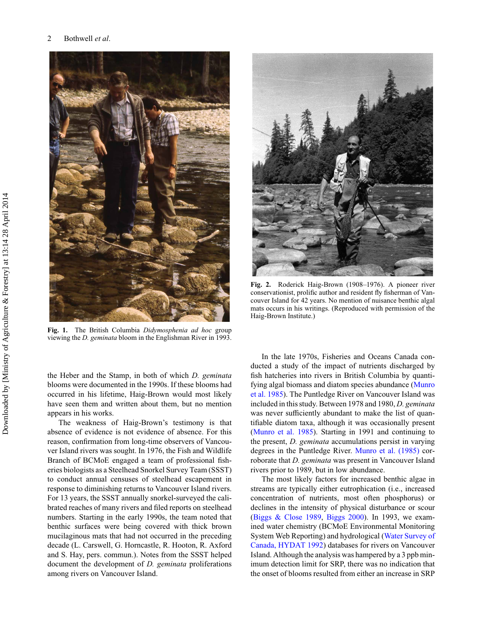<span id="page-2-0"></span>

**Fig. 1.** The British Columbia *Didymosphenia ad hoc* group viewing the *D. geminata* bloom in the Englishman River in 1993.

the Heber and the Stamp, in both of which *D. geminata* blooms were documented in the 1990s. If these blooms had occurred in his lifetime, Haig-Brown would most likely have seen them and written about them, but no mention appears in his works.

The weakness of Haig-Brown's testimony is that absence of evidence is not evidence of absence. For this reason, confirmation from long-time observers of Vancouver Island rivers was sought. In 1976, the Fish and Wildlife Branch of BCMoE engaged a team of professional fisheries biologists as a Steelhead Snorkel Survey Team (SSST) to conduct annual censuses of steelhead escapement in response to diminishing returns to Vancouver Island rivers. For 13 years, the SSST annually snorkel-surveyed the calibrated reaches of many rivers and filed reports on steelhead numbers. Starting in the early 1990s, the team noted that benthic surfaces were being covered with thick brown mucilaginous mats that had not occurred in the preceding decade (L. Carswell, G. Horncastle, R. Hooton, R. Axford and S. Hay, pers. commun.). Notes from the SSST helped document the development of *D. geminata* proliferations among rivers on Vancouver Island.



**Fig. 2.** Roderick Haig-Brown (1908–1976). A pioneer river conservationist, prolific author and resident fly fisherman of Vancouver Island for 42 years. No mention of nuisance benthic algal mats occurs in his writings. (Reproduced with permission of the Haig-Brown Institute.)

In the late 1970s, Fisheries and Oceans Canada conducted a study of the impact of nutrients discharged by fish hatcheries into rivers in British Columbia by quanti-fying algal biomass and diatom species abundance [\(Munro](#page-8-0) [et al. 1985\)](#page-8-0). The Puntledge River on Vancouver Island was included in this study. Between 1978 and 1980, *D. geminata* was never sufficiently abundant to make the list of quantifiable diatom taxa, although it was occasionally present [\(Munro et al. 1985\)](#page-8-0). Starting in 1991 and continuing to the present, *D. geminata* accumulations persist in varying degrees in the Puntledge River. [Munro et al. \(1985\)](#page-8-0) corroborate that *D. geminata* was present in Vancouver Island rivers prior to 1989, but in low abundance.

The most likely factors for increased benthic algae in streams are typically either eutrophication (i.e., increased concentration of nutrients, most often phosphorus) or declines in the intensity of physical disturbance or scour [\(Biggs & Close 1989,](#page-7-0) [Biggs 2000\)](#page-7-0). In 1993, we examined water chemistry (BCMoE Environmental Monitoring System Web Reporting) and hydrological [\(Water Survey of](#page-7-0) [Canada, HYDAT 1992\)](#page-7-0) databases for rivers on Vancouver Island. Although the analysis was hampered by a 3 ppb minimum detection limit for SRP, there was no indication that the onset of blooms resulted from either an increase in SRP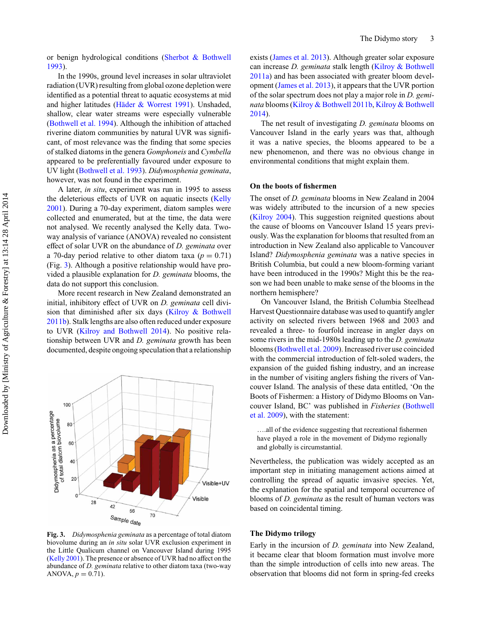or benign hydrological conditions [\(Sherbot & Bothwell](#page-8-0) [1993\)](#page-8-0).

In the 1990s, ground level increases in solar ultraviolet radiation (UVR) resulting from global ozone depletion were identified as a potential threat to aquatic ecosystems at mid and higher latitudes [\(Häder & Worrest 1991\)](#page-7-0). Unshaded, shallow, clear water streams were especially vulnerable [\(Bothwell et al. 1994\)](#page-7-0). Although the inhibition of attached riverine diatom communities by natural UVR was significant, of most relevance was the finding that some species of stalked diatoms in the genera *Gomphoneis* and *Cymbella* appeared to be preferentially favoured under exposure to UV light [\(Bothwell et al. 1993\)](#page-7-0). *Didymosphenia geminata*, however, was not found in the experiment.

A later, *in situ*, experiment was run in 1995 to assess the deleterious effects of UVR on aquatic insects (Kelly 2001). During a 70-day experiment, diatom samples were collected and enumerated, but at the time, the data were not analysed. We recently analysed the Kelly data. Twoway analysis of variance (ANOVA) revealed no consistent effect of solar UVR on the abundance of *D. geminata* over a 70-day period relative to other diatom taxa ( $p = 0.71$ ) (Fig. 3). Although a positive relationship would have provided a plausible explanation for *D. geminata* blooms, the data do not support this conclusion.

More recent research in New Zealand demonstrated an initial, inhibitory effect of UVR on *D. geminata* cell division that diminished after six days (Kilroy  $&$  Bothwell [2011b\)](#page-7-0). Stalk lengths are also often reduced under exposure to UVR [\(Kilroy and Bothwell 2014\)](#page-7-0). No positive relationship between UVR and *D. geminata* growth has been documented, despite ongoing speculation that a relationship



exists [\(James et al. 2013\)](#page-7-0). Although greater solar exposure can increase *D. geminata* stalk length [\(Kilroy & Bothwell](#page-7-0) [2011a\)](#page-7-0) and has been associated with greater bloom development [\(James et al. 2013\)](#page-7-0), it appears that the UVR portion of the solar spectrum does not play a major role in *D. geminata* blooms [\(Kilroy & Bothwell 2011b,](#page-7-0) [Kilroy & Bothwell](#page-7-0) [2014\)](#page-7-0).

The net result of investigating *D. geminata* blooms on Vancouver Island in the early years was that, although it was a native species, the blooms appeared to be a new phenomenon, and there was no obvious change in environmental conditions that might explain them.

#### **On the boots of fishermen**

The onset of *D. geminata* blooms in New Zealand in 2004 was widely attributed to the incursion of a new species [\(Kilroy 2004\)](#page-7-0). This suggestion reignited questions about the cause of blooms on Vancouver Island 15 years previously. Was the explanation for blooms that resulted from an introduction in New Zealand also applicable to Vancouver Island? *Didymosphenia geminata* was a native species in British Columbia, but could a new bloom-forming variant have been introduced in the 1990s? Might this be the reason we had been unable to make sense of the blooms in the northern hemisphere?

On Vancouver Island, the British Columbia Steelhead Harvest Questionnaire database was used to quantify angler activity on selected rivers between 1968 and 2003 and revealed a three- to fourfold increase in angler days on some rivers in the mid-1980s leading up to the *D. geminata* blooms [\(Bothwell et al. 2009\)](#page-7-0). Increased river use coincided with the commercial introduction of felt-soled waders, the expansion of the guided fishing industry, and an increase in the number of visiting anglers fishing the rivers of Vancouver Island. The analysis of these data entitled, 'On the Boots of Fishermen: a History of Didymo Blooms on Vancouver Island, BC' was published in *Fisheries* [\(Bothwell](#page-7-0) [et al. 2009\)](#page-7-0), with the statement:

….all of the evidence suggesting that recreational fishermen have played a role in the movement of Didymo regionally and globally is circumstantial.

Nevertheless, the publication was widely accepted as an important step in initiating management actions aimed at controlling the spread of aquatic invasive species. Yet, the explanation for the spatial and temporal occurrence of blooms of *D. geminata* as the result of human vectors was based on coincidental timing.

#### **The Didymo trilogy**

Early in the incursion of *D. geminata* into New Zealand, it became clear that bloom formation must involve more than the simple introduction of cells into new areas. The observation that blooms did not form in spring-fed creeks

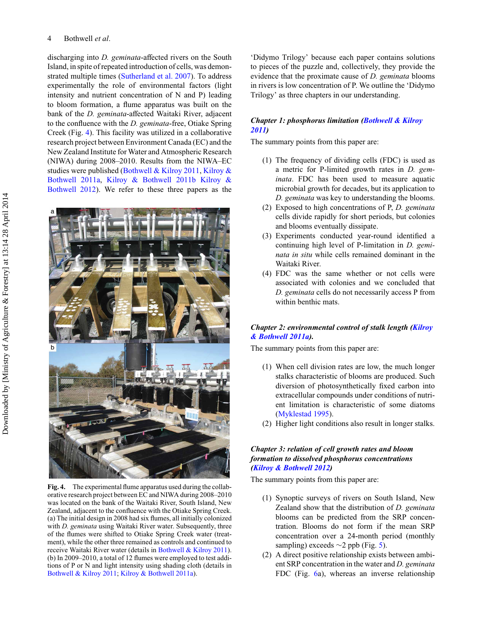#### 4 Bothwell *et al*.

discharging into *D. geminata*-affected rivers on the South Island, in spite of repeated introduction of cells, was demonstrated multiple times [\(Sutherland et al. 2007\)](#page-8-0). To address experimentally the role of environmental factors (light intensity and nutrient concentration of N and P) leading to bloom formation, a flume apparatus was built on the bank of the *D. geminata*-affected Waitaki River, adjacent to the confluence with the *D. geminata*-free, Otiake Spring Creek (Fig. 4). This facility was utilized in a collaborative research project between Environment Canada (EC) and the New Zealand Institute for Water and Atmospheric Research (NIWA) during 2008–2010. Results from the NIWA–EC studies were published [\(Bothwell & Kilroy 2011,](#page-7-0) [Kilroy &](#page-7-0) [Bothwell 2011a,](#page-7-0) [Kilroy & Bothwell 2011b Kilroy &](#page-7-0) [Bothwell 2012\)](#page-7-0). We refer to these three papers as the



**Fig. 4.** The experimental flume apparatus used during the collaborative research project between EC and NIWA during 2008–2010 was located on the bank of the Waitaki River, South Island, New Zealand, adjacent to the confluence with the Otiake Spring Creek. (a) The initial design in 2008 had six flumes, all initially colonized with *D. geminata* using Waitaki River water. Subsequently, three of the flumes were shifted to Otiake Spring Creek water (treatment), while the other three remained as controls and continued to receive Waitaki River water (details in [Bothwell & Kilroy 2011\)](#page-7-0). (b) In 2009–2010, a total of 12 flumes were employed to test additions of P or N and light intensity using shading cloth (details in [Bothwell & Kilroy 2011;](#page-7-0) [Kilroy & Bothwell 2011a\)](#page-7-0).

'Didymo Trilogy' because each paper contains solutions to pieces of the puzzle and, collectively, they provide the evidence that the proximate cause of *D. geminata* blooms in rivers is low concentration of P. We outline the 'Didymo Trilogy' as three chapters in our understanding.

## *Chapter 1: phosphorus limitation [\(Bothwell & Kilroy](#page-7-0) [2011\)](#page-7-0)*

The summary points from this paper are:

- (1) The frequency of dividing cells (FDC) is used as a metric for P-limited growth rates in *D. geminata*. FDC has been used to measure aquatic microbial growth for decades, but its application to *D. geminata* was key to understanding the blooms.
- (2) Exposed to high concentrations of P, *D. geminata* cells divide rapidly for short periods, but colonies and blooms eventually dissipate.
- (3) Experiments conducted year-round identified a continuing high level of P-limitation in *D. geminata in situ* while cells remained dominant in the Waitaki River.
- (4) FDC was the same whether or not cells were associated with colonies and we concluded that *D. geminata* cells do not necessarily access P from within benthic mats.

## *Chapter 2: environmental control of stalk length [\(Kilroy](#page-7-0) [& Bothwell 2011a\)](#page-7-0).*

The summary points from this paper are:

- (1) When cell division rates are low, the much longer stalks characteristic of blooms are produced. Such diversion of photosynthetically fixed carbon into extracellular compounds under conditions of nutrient limitation is characteristic of some diatoms [\(Myklestad 1995\)](#page-8-0).
- (2) Higher light conditions also result in longer stalks.

## *Chapter 3: relation of cell growth rates and bloom formation to dissolved phosphorus concentrations [\(Kilroy & Bothwell 2012\)](#page-7-0)*

The summary points from this paper are:

- (1) Synoptic surveys of rivers on South Island, New Zealand show that the distribution of *D. geminata* blooms can be predicted from the SRP concentration. Blooms do not form if the mean SRP concentration over a 24-month period (monthly sampling) exceeds  $\sim$ 2 ppb (Fig. [5\)](#page-5-0).
- (2) A direct positive relationship exists between ambient SRP concentration in the water and *D. geminata* FDC (Fig. [6a](#page-5-0)), whereas an inverse relationship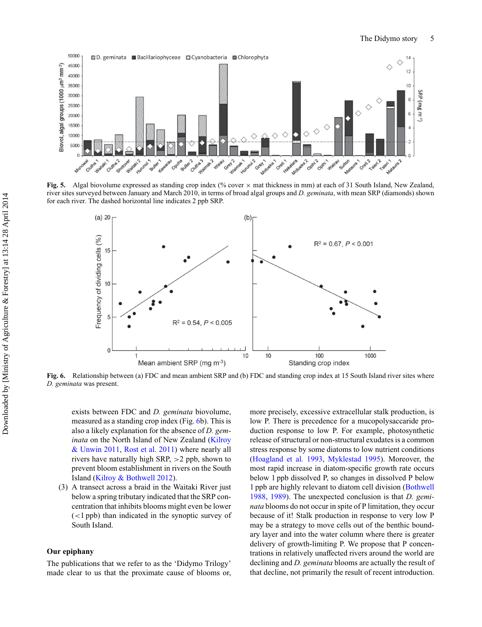<span id="page-5-0"></span>

**Fig. 5.** Algal biovolume expressed as standing crop index (% cover  $\times$  mat thickness in mm) at each of 31 South Island, New Zealand, river sites surveyed between January and March 2010, in terms of broad algal groups and *D. geminata*, with mean SRP (diamonds) shown for each river. The dashed horizontal line indicates 2 ppb SRP.



**Fig. 6.** Relationship between (a) FDC and mean ambient SRP and (b) FDC and standing crop index at 15 South Island river sites where *D. geminata* was present.

exists between FDC and *D. geminata* biovolume, measured as a standing crop index (Fig. 6b). This is also a likely explanation for the absence of *D. geminata* on the North Island of New Zealand [\(Kilroy](#page-7-0) [& Unwin 2011,](#page-7-0) [Rost et al. 2011\)](#page-8-0) where nearly all rivers have naturally high SRP, *>*2 ppb, shown to prevent bloom establishment in rivers on the South Island [\(Kilroy & Bothwell 2012\)](#page-7-0).

(3) A transect across a braid in the Waitaki River just below a spring tributary indicated that the SRP concentration that inhibits blooms might even be lower (*<*1 ppb) than indicated in the synoptic survey of South Island.

### **Our epiphany**

The publications that we refer to as the 'Didymo Trilogy' made clear to us that the proximate cause of blooms or, more precisely, excessive extracellular stalk production, is low P. There is precedence for a mucopolysaccaride production response to low P. For example, photosynthetic release of structural or non-structural exudates is a common stress response by some diatoms to low nutrient conditions [\(Hoagland et al. 1993,](#page-7-0) [Myklestad 1995\)](#page-8-0). Moreover, the most rapid increase in diatom-specific growth rate occurs below 1 ppb dissolved P, so changes in dissolved P below 1 ppb are highly relevant to diatom cell division [\(Bothwell](#page-7-0) [1988,](#page-7-0) [1989\)](#page-7-0). The unexpected conclusion is that *D. geminata* blooms do not occur in spite of P limitation, they occur because of it! Stalk production in response to very low P may be a strategy to move cells out of the benthic boundary layer and into the water column where there is greater delivery of growth-limiting P. We propose that P concentrations in relatively unaffected rivers around the world are declining and *D. geminata* blooms are actually the result of that decline, not primarily the result of recent introduction.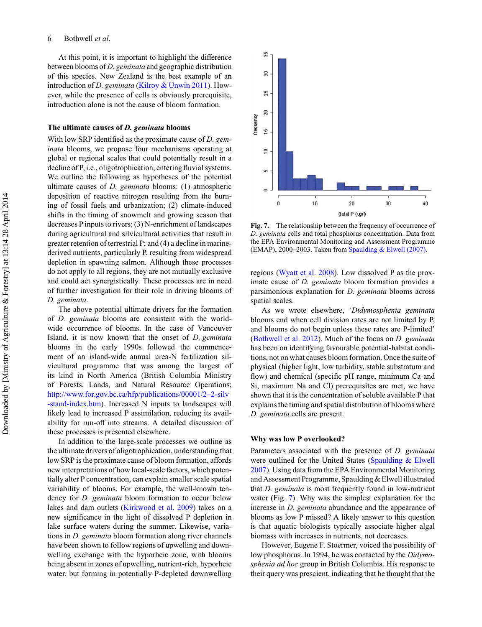At this point, it is important to highlight the difference between blooms of *D. geminata* and geographic distribution of this species. New Zealand is the best example of an introduction of *D. geminata* [\(Kilroy & Unwin 2011\)](#page-7-0). However, while the presence of cells is obviously prerequisite, introduction alone is not the cause of bloom formation.

#### **The ultimate causes of** *D. geminata* **blooms**

With low SRP identified as the proximate cause of *D. geminata* blooms, we propose four mechanisms operating at global or regional scales that could potentially result in a decline of P, i.e., oligotrophication, entering fluvial systems. We outline the following as hypotheses of the potential ultimate causes of *D. geminata* blooms: (1) atmospheric deposition of reactive nitrogen resulting from the burning of fossil fuels and urbanization; (2) climate-induced shifts in the timing of snowmelt and growing season that decreases P inputs to rivers; (3) N-enrichment of landscapes during agricultural and silvicultural activities that result in greater retention of terrestrial P; and (4) a decline in marinederived nutrients, particularly P, resulting from widespread depletion in spawning salmon. Although these processes do not apply to all regions, they are not mutually exclusive and could act synergistically. These processes are in need of further investigation for their role in driving blooms of *D. geminata*.

The above potential ultimate drivers for the formation of *D. geminata* blooms are consistent with the worldwide occurrence of blooms. In the case of Vancouver Island, it is now known that the onset of *D. geminata* blooms in the early 1990s followed the commencement of an island-wide annual urea-N fertilization silvicultural programme that was among the largest of its kind in North America (British Columbia Ministry of Forests, Lands, and Natural Resource Operations; [http://www.for.gov.bc.ca/hfp/publications/00001/2–2-silv](http://www.for.gov.bc.ca/hfp/publications/00001/2--2-silv-stand-index.htm) [-stand-index.htm\)](http://www.for.gov.bc.ca/hfp/publications/00001/2--2-silv-stand-index.htm). Increased N inputs to landscapes will likely lead to increased P assimilation, reducing its availability for run-off into streams. A detailed discussion of these processes is presented elsewhere.

In addition to the large-scale processes we outline as the ultimate drivers of oligotrophication, understanding that low SRP is the proximate cause of bloom formation, affords new interpretations of how local-scale factors, which potentially alter P concentration, can explain smaller scale spatial variability of blooms. For example, the well-known tendency for *D. geminata* bloom formation to occur below lakes and dam outlets [\(Kirkwood et al. 2009\)](#page-7-0) takes on a new significance in the light of dissolved P depletion in lake surface waters during the summer. Likewise, variations in *D. geminata* bloom formation along river channels have been shown to follow regions of upwelling and downwelling exchange with the hyporheic zone, with blooms being absent in zones of upwelling, nutrient-rich, hyporheic water, but forming in potentially P-depleted downwelling



**Fig. 7.** The relationship between the frequency of occurrence of *D. geminata* cells and total phosphorus concentration. Data from the EPA Environmental Monitoring and Assessment Programme (EMAP), 2000–2003. Taken from [Spaulding & Elwell \(2007\).](#page-8-0)

regions [\(Wyatt et al. 2008\)](#page-8-0). Low dissolved P as the proximate cause of *D. geminata* bloom formation provides a parsimonious explanation for *D. geminata* blooms across spatial scales.

As we wrote elsewhere, '*Didymosphenia geminata* blooms end when cell division rates are not limited by P, and blooms do not begin unless these rates are P-limited' [\(Bothwell et al. 2012\)](#page-7-0). Much of the focus on *D. geminata* has been on identifying favourable potential-habitat conditions, not on what causes bloom formation. Once the suite of physical (higher light, low turbidity, stable substratum and flow) and chemical (specific pH range, minimum Ca and Si, maximum Na and Cl) prerequisites are met, we have shown that it is the concentration of soluble available P that explains the timing and spatial distribution of blooms where *D. geminata* cells are present.

#### **Why was low P overlooked?**

Parameters associated with the presence of *D. geminata* were outlined for the United States [\(Spaulding & Elwell](#page-8-0) [2007\)](#page-8-0). Using data from the EPA Environmental Monitoring and Assessment Programme, Spaulding & Elwell illustrated that *D. geminata* is most frequently found in low-nutrient water (Fig. 7). Why was the simplest explanation for the increase in *D. geminata* abundance and the appearance of blooms as low P missed? A likely answer to this question is that aquatic biologists typically associate higher algal biomass with increases in nutrients, not decreases.

However, Eugene F. Stoermer, voiced the possibility of low phosphorus. In 1994, he was contacted by the *Didymosphenia ad hoc* group in British Columbia. His response to their query was prescient, indicating that he thought that the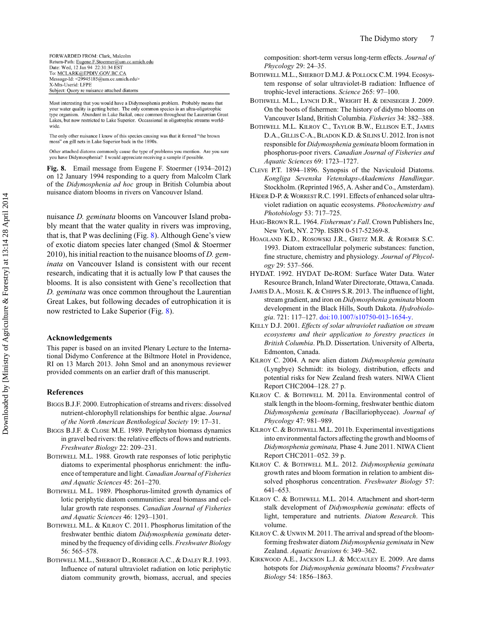<span id="page-7-0"></span>FORWARDED FROM: Clark, Malcolm Return-Path: Eugene.F.Stoermer@um.cc.umich.edu<br>Date: Wed, 12 Jan 94 22:31:34 EST To: MCLARK@EPDIV.GOV.BC.CA<br>Message-Id: <29945185@um.cc.umich.edu> X-Mts-Userid: LFPE Subject: Query re nuisance attached diatoms

Most interesting that you would have a Didymosphenia problem. Probably means that<br>your water quality is getting better. The only common species is an ultra-oligotrophic<br>type organism. Abundant in Lake Baikal, once common t Lakes, but now restricted to Lake Superior. Occassional in oligotrophic streams worldwide.

The only other nuisance I know of this species causing was that it formed "the brown moss" on gill nets in Lake Superior back in the 1890s

Other attached diatoms commonly cause the type of problems you mention. Are you sure you have Didymosphenia? I would appreciate receiving a sample if possible

**Fig. 8.** Email message from Eugene F. Stoermer (1934–2012) on 12 January 1994 responding to a query from Malcolm Clark of the *Didymosphenia ad hoc* group in British Columbia about nuisance diatom blooms in rivers on Vancouver Island.

nuisance *D. geminata* blooms on Vancouver Island probably meant that the water quality in rivers was improving, that is, that P was declining (Fig. 8). Although Gene's view of exotic diatom species later changed (Smol & Stoermer 2010), his initial reaction to the nuisance blooms of *D. geminata* on Vancouver Island is consistent with our recent research, indicating that it is actually low P that causes the blooms. It is also consistent with Gene's recollection that *D. geminata* was once common throughout the Laurentian Great Lakes, but following decades of eutrophication it is now restricted to Lake Superior (Fig. 8).

#### **Acknowledgements**

This paper is based on an invited Plenary Lecture to the International Didymo Conference at the Biltmore Hotel in Providence, RI on 13 March 2013. John Smol and an anonymous reviewer provided comments on an earlier draft of this manuscript.

### **References**

- Biggs B.J.F. 2000. Eutrophication of streams and rivers: dissolved nutrient-chlorophyll relationships for benthic algae. *Journal of the North American Benthological Society* 19: 17–31.
- Biggs B.J.F. & Close M.E. 1989. Periphyton biomass dynamics in gravel bed rivers: the relative effects of flows and nutrients. *Freshwater Biology* 22: 209–231.
- BOTHWELL M.L. 1988. Growth rate responses of lotic periphytic diatoms to experimental phosphorus enrichment: the influence of temperature and light. *Canadian Journal of Fisheries and Aquatic Sciences* 45: 261–270.
- BOTHWELL M.L. 1989. Phosphorus-limited growth dynamics of lotic periphytic diatom communities: areal biomass and cellular growth rate responses. *Canadian Journal of Fisheries and Aquatic Sciences* 46: 1293–1301.
- BOTHWELL M.L. & KILROY C. 2011. Phosphorus limitation of the freshwater benthic diatom *Didymosphenia geminata* determined by the frequency of dividing cells. *Freshwater Biology* 56: 565–578.
- Bothwell M.L., Sherbot D., Roberge A.C., & Daley R.J. 1993. Influence of natural ultraviolet radiation on lotic periphytic diatom community growth, biomass, accrual, and species

composition: short-term versus long-term effects. *Journal of Phycology* 29: 24–35.

- BOTHWELL M.L., SHERBOT D.M.J. & POLLOCK C.M. 1994. Ecosystem response of solar ultraviolet-B radiation: Influence of trophic-level interactions. *Science* 265: 97–100.
- BOTHWELL M.L., LYNCH D.R., WRIGHT H. & DENISEGER J. 2009. On the boots of fishermen: The history of didymo blooms on Vancouver Island, British Columbia. *Fisheries* 34: 382–388.
- Bothwell M.L. Kilroy C., Taylor B.W., Ellison E.T., James D.A., Gillis C-A., Bladon K.D. & Silins U. 2012. Iron is not responsible for *Didymosphenia geminata* bloom formation in phosphorus-poor rivers. *Canadian Journal of Fisheries and Aquatic Sciences* 69: 1723–1727.
- Cleve P.T. 1894–1896. Synopsis of the Naviculoid Diatoms. *Kongliga Sevenska Vetenskaps-Akademiens Handlingar*. Stockholm. (Reprinted 1965, A. Asher and Co., Amsterdam).
- HÄDER D-P. & WORREST R.C. 1991. Effects of enhanced solar ultraviolet radiation on aquatic ecosystems. *Photochemistry and Photobiology* 53: 717–725.
- Haig-Brown R.L. 1964. *Fisherman*'*s Fall*. Crown Publishers Inc, New York, NY. 279p. ISBN 0-517-52369-8.
- Hoagland K.D., Rosowski J.R., Gretz M.R. & Roemer S.C. 1993. Diatom extracellular polymeric substances: function, fine structure, chemistry and physiology. *Journal of Phycology* 29: 537–566.
- HYDAT. 1992. HYDAT De-ROM: Surface Water Data. Water Resource Branch, Inland Water Directorate, Ottawa, Canada.
- James D.A., Mosel K. & Chipps S.R. 2013. The influence of light, stream gradient, and iron on *Didymosphenia geminata* bloom development in the Black Hills, South Dakota. *Hydrobiologia*. 721: 117–127. [doi:10.1007/s10750-013-1654-y.](http://dx.doi.org/10.1007/s10750-013-1654-y)
- Kelly D.J. 2001. *Effects of solar ultraviolet radiation on stream ecosystems and their application to forestry practices in British Columbia*. Ph.D. Dissertation. University of Alberta, Edmonton, Canada.
- Kilroy C. 2004. A new alien diatom *Didymosphenia geminata* (Lyngbye) Schmidt: its biology, distribution, effects and potential risks for New Zealand fresh waters. NIWA Client Report CHC2004–128. 27 p.
- Kilroy C. & Bothwell M. 2011a. Environmental control of stalk length in the bloom-forming, freshwater benthic diatom *Didymosphenia geminata (*Bacillariophyceae). *Journal of Phycology* 47: 981–989.
- KILROY C. & BOTHWELL M.L. 2011b. Experimental investigations into environmental factors affecting the growth and blooms of *Didymosphenia geminata,* Phase 4. June 2011. NIWA Client Report CHC2011–052. 39 p.
- Kilroy C. & Bothwell M.L. 2012. *Didymosphenia geminata* growth rates and bloom formation in relation to ambient dissolved phosphorus concentration. *Freshwater Biology* 57: 641–653.
- KILROY C. & BOTHWELL M.L. 2014. Attachment and short-term stalk development of *Didymosphenia geminata*: effects of light, temperature and nutrients. *Diatom Research*. This volume.
- Kilroy C. & Unwin M. 2011. The arrival and spread of the bloomforming freshwater diatom *Didymosphenia geminata* in New Zealand. *Aquatic Invasions* 6: 349–362.
- Kirkwood A.E., Jackson L.J. & Mccauley E. 2009. Are dams hotspots for *Didymosphenia geminata* blooms? *Freshwater Biology* 54: 1856–1863.